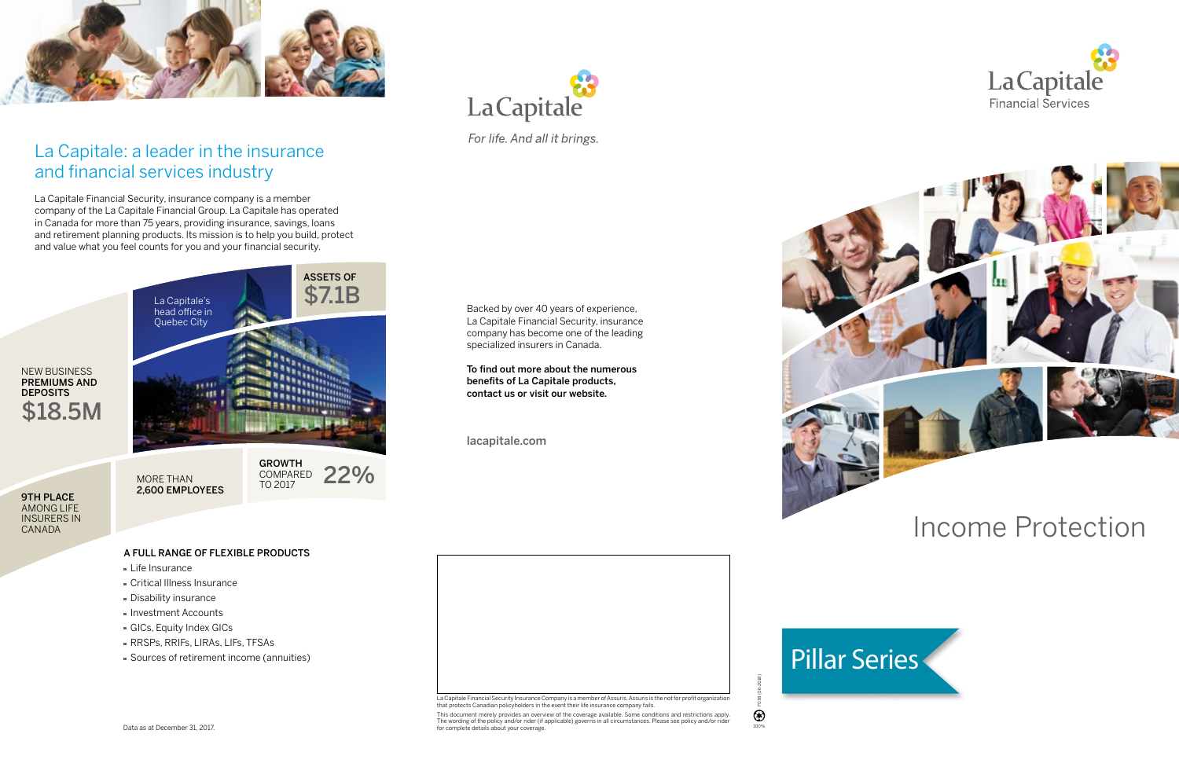

### La Capitale: a leader in the insurance and financial services industry

La Capitale Financial Security, insurance company is a member company of the La Capitale Financial Group. La Capitale has operated in Canada for more than 75 years, providing insurance, savings, loans and retirement planning products. Its mission is to help you build, protect and value what you feel counts for you and your financial security.

- **Life Insurance**
- Critical Illness Insurance
- Disability insurance
- **Investment Accounts**
- GICs, Equity Index GICs
- RRSPs, RRIFs, LIRAs, LIFs, TFSAs
- Sources of retirement income (annuities)

F038 (06-2018)

100%

 $\circledast$ 

# Income Protection



#### A FULL RANGE OF FLEXIBLE PRODUCTS

Data as at December 31, 2017.



La Capitale Financial Security Insurance Company is a member of Assuris. Assuris is the not for profit organization that protects Canadian policyholders in the event their life insurance company fails.

This document merely provides an overview of the coverage available. Some conditions and restrictions apply.<br>The wording of the policy and/or rider (if applicable) governs in all circumstances. Please see policy and/or rid

Backed by over 40 years of experience, La Capitale Financial Security, insurance company has become one of the leading specialized insurers in Canada.

To find out more about the numerous benefits of La Capitale products, contact us or visit our website.

lacapitale.com







For life. And all it brings.

9TH PLACE AMONG LIFE INSURERS IN CANADA

**DEPOSITS**